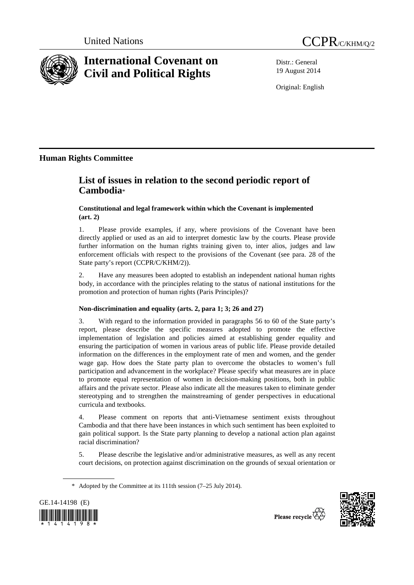



# **International Covenant on Civil and Political Rights**

Distr.: General 19 August 2014

Original: English

## **Human Rights Committee**

# **List of issues in relation to the second periodic report of Cambodia**\*

### **Constitutional and legal framework within which the Covenant is implemented (art. 2)**

1. Please provide examples, if any, where provisions of the Covenant have been directly applied or used as an aid to interpret domestic law by the courts. Please provide further information on the human rights training given to, inter alios, judges and law enforcement officials with respect to the provisions of the Covenant (see para. 28 of the State party's report (CCPR/C/KHM/2)).

2. Have any measures been adopted to establish an independent national human rights body, in accordance with the principles relating to the status of national institutions for the promotion and protection of human rights (Paris Principles)?

### **Non-discrimination and equality (arts. 2, para 1; 3; 26 and 27)**

3. With regard to the information provided in paragraphs 56 to 60 of the State party's report, please describe the specific measures adopted to promote the effective implementation of legislation and policies aimed at establishing gender equality and ensuring the participation of women in various areas of public life. Please provide detailed information on the differences in the employment rate of men and women, and the gender wage gap. How does the State party plan to overcome the obstacles to women's full participation and advancement in the workplace? Please specify what measures are in place to promote equal representation of women in decision-making positions, both in public affairs and the private sector. Please also indicate all the measures taken to eliminate gender stereotyping and to strengthen the mainstreaming of gender perspectives in educational curricula and textbooks.

4. Please comment on reports that anti-Vietnamese sentiment exists throughout Cambodia and that there have been instances in which such sentiment has been exploited to gain political support. Is the State party planning to develop a national action plan against racial discrimination?

5. Please describe the legislative and/or administrative measures, as well as any recent court decisions, on protection against discrimination on the grounds of sexual orientation or

 <sup>\*</sup> Adopted by the Committee at its 111th session (7–25 July 2014).



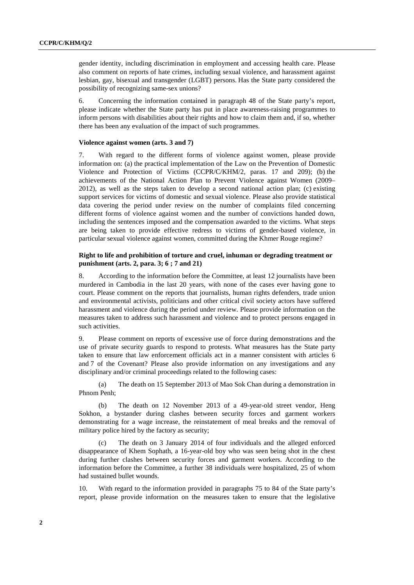gender identity, including discrimination in employment and accessing health care. Please also comment on reports of hate crimes, including sexual violence, and harassment against lesbian, gay, bisexual and transgender (LGBT) persons. Has the State party considered the possibility of recognizing same-sex unions?

6. Concerning the information contained in paragraph 48 of the State party's report, please indicate whether the State party has put in place awareness-raising programmes to inform persons with disabilities about their rights and how to claim them and, if so, whether there has been any evaluation of the impact of such programmes.

#### **Violence against women (arts. 3 and 7)**

7. With regard to the different forms of violence against women, please provide information on: (a) the practical implementation of the Law on the Prevention of Domestic Violence and Protection of Victims (CCPR/C/KHM/2, paras. 17 and 209); (b) the achievements of the National Action Plan to Prevent Violence against Women (2009– 2012), as well as the steps taken to develop a second national action plan; (c) existing support services for victims of domestic and sexual violence. Please also provide statistical data covering the period under review on the number of complaints filed concerning different forms of violence against women and the number of convictions handed down, including the sentences imposed and the compensation awarded to the victims. What steps are being taken to provide effective redress to victims of gender-based violence, in particular sexual violence against women, committed during the Khmer Rouge regime?

#### **Right to life and prohibition of torture and cruel, inhuman or degrading treatment or punishment (arts. 2, para. 3; 6 ; 7 and 21)**

8. According to the information before the Committee, at least 12 journalists have been murdered in Cambodia in the last 20 years, with none of the cases ever having gone to court. Please comment on the reports that journalists, human rights defenders, trade union and environmental activists, politicians and other critical civil society actors have suffered harassment and violence during the period under review. Please provide information on the measures taken to address such harassment and violence and to protect persons engaged in such activities.

9. Please comment on reports of excessive use of force during demonstrations and the use of private security guards to respond to protests. What measures has the State party taken to ensure that law enforcement officials act in a manner consistent with articles 6 and 7 of the Covenant? Please also provide information on any investigations and any disciplinary and/or criminal proceedings related to the following cases:

(a) The death on 15 September 2013 of Mao Sok Chan during a demonstration in Phnom Penh;

(b) The death on 12 November 2013 of a 49-year-old street vendor, Heng Sokhon, a bystander during clashes between security forces and garment workers demonstrating for a wage increase, the reinstatement of meal breaks and the removal of military police hired by the factory as security;

The death on 3 January 2014 of four individuals and the alleged enforced disappearance of Khem Sophath, a 16-year-old boy who was seen being shot in the chest during further clashes between security forces and garment workers. According to the information before the Committee, a further 38 individuals were hospitalized, 25 of whom had sustained bullet wounds.

10. With regard to the information provided in paragraphs 75 to 84 of the State party's report, please provide information on the measures taken to ensure that the legislative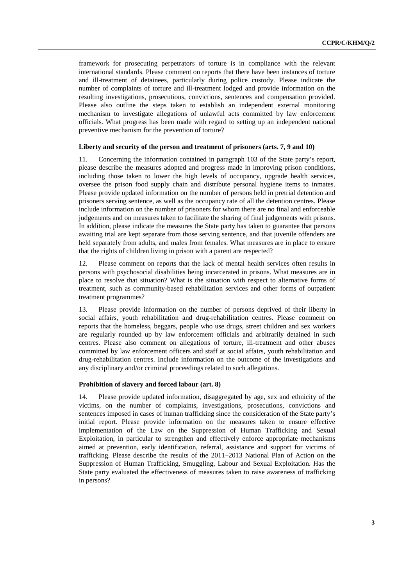framework for prosecuting perpetrators of torture is in compliance with the relevant international standards. Please comment on reports that there have been instances of torture and ill-treatment of detainees, particularly during police custody. Please indicate the number of complaints of torture and ill-treatment lodged and provide information on the resulting investigations, prosecutions, convictions, sentences and compensation provided. Please also outline the steps taken to establish an independent external monitoring mechanism to investigate allegations of unlawful acts committed by law enforcement officials. What progress has been made with regard to setting up an independent national preventive mechanism for the prevention of torture?

#### **Liberty and security of the person and treatment of prisoners (arts. 7, 9 and 10)**

11. Concerning the information contained in paragraph 103 of the State party's report, please describe the measures adopted and progress made in improving prison conditions, including those taken to lower the high levels of occupancy, upgrade health services, oversee the prison food supply chain and distribute personal hygiene items to inmates. Please provide updated information on the number of persons held in pretrial detention and prisoners serving sentence, as well as the occupancy rate of all the detention centres. Please include information on the number of prisoners for whom there are no final and enforceable judgements and on measures taken to facilitate the sharing of final judgements with prisons. In addition, please indicate the measures the State party has taken to guarantee that persons awaiting trial are kept separate from those serving sentence, and that juvenile offenders are held separately from adults, and males from females. What measures are in place to ensure that the rights of children living in prison with a parent are respected?

Please comment on reports that the lack of mental health services often results in persons with psychosocial disabilities being incarcerated in prisons. What measures are in place to resolve that situation? What is the situation with respect to alternative forms of treatment, such as community-based rehabilitation services and other forms of outpatient treatment programmes?

13. Please provide information on the number of persons deprived of their liberty in social affairs, youth rehabilitation and drug-rehabilitation centres. Please comment on reports that the homeless, beggars, people who use drugs, street children and sex workers are regularly rounded up by law enforcement officials and arbitrarily detained in such centres. Please also comment on allegations of torture, ill-treatment and other abuses committed by law enforcement officers and staff at social affairs, youth rehabilitation and drug-rehabilitation centres. Include information on the outcome of the investigations and any disciplinary and/or criminal proceedings related to such allegations.

#### **Prohibition of slavery and forced labour (art. 8)**

14. Please provide updated information, disaggregated by age, sex and ethnicity of the victims, on the number of complaints, investigations, prosecutions, convictions and sentences imposed in cases of human trafficking since the consideration of the State party's initial report. Please provide information on the measures taken to ensure effective implementation of the Law on the Suppression of Human Trafficking and Sexual Exploitation, in particular to strengthen and effectively enforce appropriate mechanisms aimed at prevention, early identification, referral, assistance and support for victims of trafficking. Please describe the results of the 2011–2013 National Plan of Action on the Suppression of Human Trafficking, Smuggling, Labour and Sexual Exploitation. Has the State party evaluated the effectiveness of measures taken to raise awareness of trafficking in persons?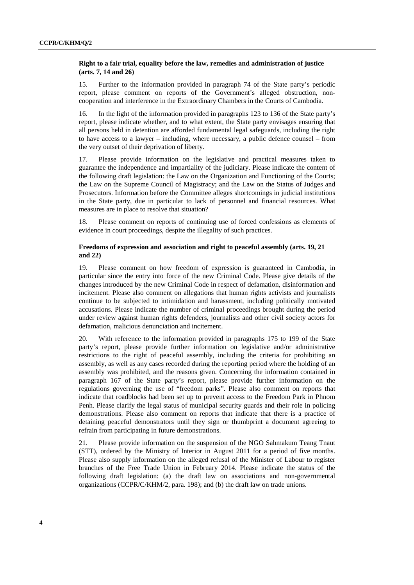#### **Right to a fair trial, equality before the law, remedies and administration of justice (arts. 7, 14 and 26)**

15. Further to the information provided in paragraph 74 of the State party's periodic report, please comment on reports of the Government's alleged obstruction, noncooperation and interference in the Extraordinary Chambers in the Courts of Cambodia.

16. In the light of the information provided in paragraphs 123 to 136 of the State party's report, please indicate whether, and to what extent, the State party envisages ensuring that all persons held in detention are afforded fundamental legal safeguards, including the right to have access to a lawyer – including, where necessary, a public defence counsel – from the very outset of their deprivation of liberty.

17. Please provide information on the legislative and practical measures taken to guarantee the independence and impartiality of the judiciary. Please indicate the content of the following draft legislation: the Law on the Organization and Functioning of the Courts; the Law on the Supreme Council of Magistracy; and the Law on the Status of Judges and Prosecutors. Information before the Committee alleges shortcomings in judicial institutions in the State party, due in particular to lack of personnel and financial resources. What measures are in place to resolve that situation?

18. Please comment on reports of continuing use of forced confessions as elements of evidence in court proceedings, despite the illegality of such practices.

#### **Freedoms of expression and association and right to peaceful assembly (arts. 19, 21 and 22)**

19. Please comment on how freedom of expression is guaranteed in Cambodia, in particular since the entry into force of the new Criminal Code. Please give details of the changes introduced by the new Criminal Code in respect of defamation, disinformation and incitement. Please also comment on allegations that human rights activists and journalists continue to be subjected to intimidation and harassment, including politically motivated accusations. Please indicate the number of criminal proceedings brought during the period under review against human rights defenders, journalists and other civil society actors for defamation, malicious denunciation and incitement.

20. With reference to the information provided in paragraphs 175 to 199 of the State party's report, please provide further information on legislative and/or administrative restrictions to the right of peaceful assembly, including the criteria for prohibiting an assembly, as well as any cases recorded during the reporting period where the holding of an assembly was prohibited, and the reasons given. Concerning the information contained in paragraph 167 of the State party's report, please provide further information on the regulations governing the use of "freedom parks". Please also comment on reports that indicate that roadblocks had been set up to prevent access to the Freedom Park in Phnom Penh. Please clarify the legal status of municipal security guards and their role in policing demonstrations. Please also comment on reports that indicate that there is a practice of detaining peaceful demonstrators until they sign or thumbprint a document agreeing to refrain from participating in future demonstrations.

21. Please provide information on the suspension of the NGO Sahmakum Teang Tnaut (STT), ordered by the Ministry of Interior in August 2011 for a period of five months. Please also supply information on the alleged refusal of the Minister of Labour to register branches of the Free Trade Union in February 2014. Please indicate the status of the following draft legislation: (a) the draft law on associations and non-governmental organizations (CCPR/C/KHM/2, para. 198); and (b) the draft law on trade unions.